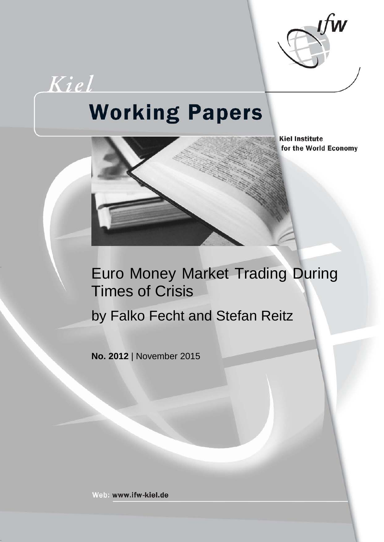

# **Working Papers**

Kiel



**Kiel Institute** for the World Economy

# Euro Money Market Trading During Times of Crisis

by Falko Fecht and Stefan Reitz

**No. 2012** | November 2015

Web: www.ifw-kiel.de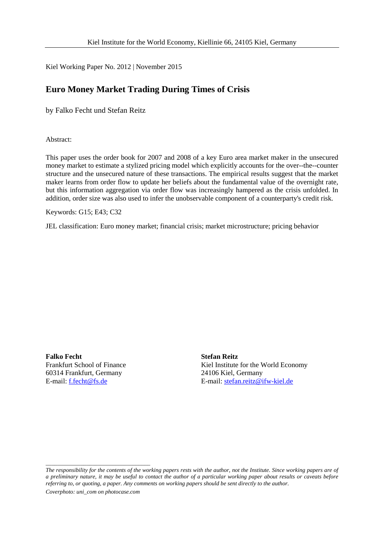Kiel Working Paper No. 2012 | November 2015

# **Euro Money Market Trading During Times of Crisis**

by Falko Fecht und Stefan Reitz

Abstract:

This paper uses the order book for 2007 and 2008 of a key Euro area market maker in the unsecured money market to estimate a stylized pricing model which explicitly accounts for the over--the--counter structure and the unsecured nature of these transactions. The empirical results suggest that the market maker learns from order flow to update her beliefs about the fundamental value of the overnight rate, but this information aggregation via order flow was increasingly hampered as the crisis unfolded. In addition, order size was also used to infer the unobservable component of a counterparty's credit risk.

Keywords: G15; E43; C32

JEL classification: Euro money market; financial crisis; market microstructure; pricing behavior

**Falko Fecht Stefan Reitz** 60314 Frankfurt, Germany

\_\_\_\_\_\_\_\_\_\_\_\_\_\_\_\_\_\_\_\_\_\_\_\_\_\_\_\_\_\_\_\_\_\_\_\_

Frankfurt School of Finance<br>
60314 Frankfurt, Germany<br>
60314 Frankfurt, Germany<br>
24106 Kiel, Germany E-mail[: f.fecht@fs.de](mailto:f.fecht@fs.de) E-mail: [stefan.reitz@ifw-kiel.de](mailto:stefan.reitz@ifw-kiel.de)

*The responsibility for the contents of the working papers rests with the author, not the Institute. Since working papers are of a preliminary nature, it may be useful to contact the author of a particular working paper about results or caveats before referring to, or quoting, a paper. Any comments on working papers should be sent directly to the author. Coverphoto: uni\_com on photocase.com*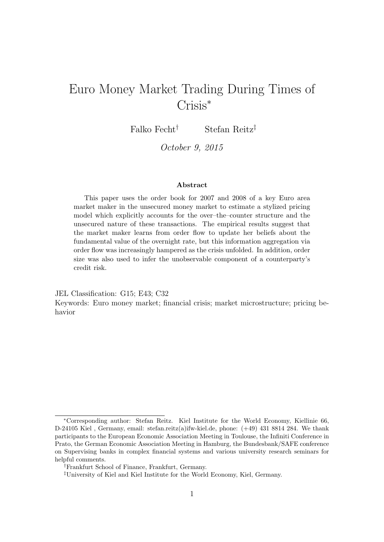# Euro Money Market Trading During Times of Crisis<sup>∗</sup>

Falko Fecht† Stefan Reitz‡

October 9, 2015

#### Abstract

This paper uses the order book for 2007 and 2008 of a key Euro area market maker in the unsecured money market to estimate a stylized pricing model which explicitly accounts for the over–the–counter structure and the unsecured nature of these transactions. The empirical results suggest that the market maker learns from order flow to update her beliefs about the fundamental value of the overnight rate, but this information aggregation via order flow was increasingly hampered as the crisis unfolded. In addition, order size was also used to infer the unobservable component of a counterparty's credit risk.

JEL Classification: G15; E43; C32 Keywords: Euro money market; financial crisis; market microstructure; pricing behavior

<sup>∗</sup>Corresponding author: Stefan Reitz. Kiel Institute for the World Economy, Kiellinie 66, D-24105 Kiel , Germany, email: stefan.reitz(a)ifw-kiel.de, phone: (+49) 431 8814 284. We thank participants to the European Economic Association Meeting in Toulouse, the Infiniti Conference in Prato, the German Economic Association Meeting in Hamburg, the Bundesbank/SAFE conference on Supervising banks in complex financial systems and various university research seminars for helpful comments.

<sup>†</sup>Frankfurt School of Finance, Frankfurt, Germany.

<sup>‡</sup>University of Kiel and Kiel Institute for the World Economy, Kiel, Germany.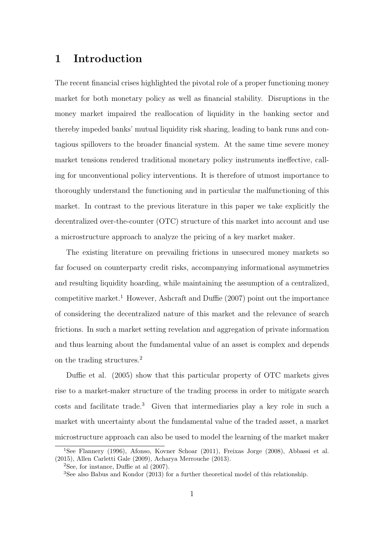# 1 Introduction

The recent financial crises highlighted the pivotal role of a proper functioning money market for both monetary policy as well as financial stability. Disruptions in the money market impaired the reallocation of liquidity in the banking sector and thereby impeded banks' mutual liquidity risk sharing, leading to bank runs and contagious spillovers to the broader financial system. At the same time severe money market tensions rendered traditional monetary policy instruments ineffective, calling for unconventional policy interventions. It is therefore of utmost importance to thoroughly understand the functioning and in particular the malfunctioning of this market. In contrast to the previous literature in this paper we take explicitly the decentralized over-the-counter (OTC) structure of this market into account and use a microstructure approach to analyze the pricing of a key market maker.

The existing literature on prevailing frictions in unsecured money markets so far focused on counterparty credit risks, accompanying informational asymmetries and resulting liquidity hoarding, while maintaining the assumption of a centralized, competitive market.<sup>1</sup> However, Ashcraft and Duffie  $(2007)$  point out the importance of considering the decentralized nature of this market and the relevance of search frictions. In such a market setting revelation and aggregation of private information and thus learning about the fundamental value of an asset is complex and depends on the trading structures.<sup>2</sup>

Duffie et al. (2005) show that this particular property of OTC markets gives rise to a market-maker structure of the trading process in order to mitigate search  $costs$  and facilitate trade.<sup>3</sup> Given that intermediaries play a key role in such a market with uncertainty about the fundamental value of the traded asset, a market microstructure approach can also be used to model the learning of the market maker

<sup>1</sup>See Flannery (1996), Afonso, Kovner Schoar (2011), Freixas Jorge (2008), Abbassi et al. (2015), Allen Carletti Gale (2009), Acharya Merrouche (2013).

 $2$ See, for instance, Duffie at al  $(2007)$ .

<sup>3</sup>See also Babus and Kondor (2013) for a further theoretical model of this relationship.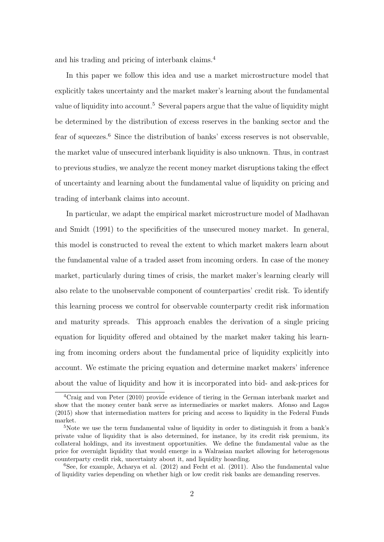and his trading and pricing of interbank claims.<sup>4</sup>

In this paper we follow this idea and use a market microstructure model that explicitly takes uncertainty and the market maker's learning about the fundamental value of liquidity into account.<sup>5</sup> Several papers argue that the value of liquidity might be determined by the distribution of excess reserves in the banking sector and the fear of squeezes. $6$  Since the distribution of banks' excess reserves is not observable, the market value of unsecured interbank liquidity is also unknown. Thus, in contrast to previous studies, we analyze the recent money market disruptions taking the effect of uncertainty and learning about the fundamental value of liquidity on pricing and trading of interbank claims into account.

In particular, we adapt the empirical market microstructure model of Madhavan and Smidt (1991) to the specificities of the unsecured money market. In general, this model is constructed to reveal the extent to which market makers learn about the fundamental value of a traded asset from incoming orders. In case of the money market, particularly during times of crisis, the market maker's learning clearly will also relate to the unobservable component of counterparties' credit risk. To identify this learning process we control for observable counterparty credit risk information and maturity spreads. This approach enables the derivation of a single pricing equation for liquidity offered and obtained by the market maker taking his learning from incoming orders about the fundamental price of liquidity explicitly into account. We estimate the pricing equation and determine market makers' inference about the value of liquidity and how it is incorporated into bid- and ask-prices for

<sup>4</sup>Craig and von Peter (2010) provide evidence of tiering in the German interbank market and show that the money center bank serve as intermediaries or market makers. Afonso and Lagos (2015) show that intermediation matters for pricing and access to liquidity in the Federal Funds market.

<sup>&</sup>lt;sup>5</sup>Note we use the term fundamental value of liquidity in order to distinguish it from a bank's private value of liquidity that is also determined, for instance, by its credit risk premium, its collateral holdings, and its investment opportunities. We define the fundamental value as the price for overnight liquidity that would emerge in a Walrasian market allowing for heterogenous counterparty credit risk, uncertainty about it, and liquidity hoarding.

 $6$ See, for example, Acharya et al. (2012) and Fecht et al. (2011). Also the fundamental value of liquidity varies depending on whether high or low credit risk banks are demanding reserves.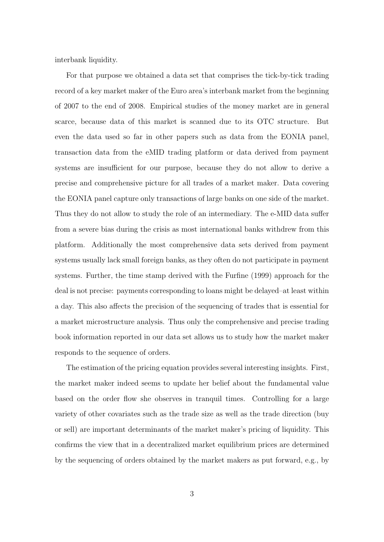interbank liquidity.

For that purpose we obtained a data set that comprises the tick-by-tick trading record of a key market maker of the Euro area's interbank market from the beginning of 2007 to the end of 2008. Empirical studies of the money market are in general scarce, because data of this market is scanned due to its OTC structure. But even the data used so far in other papers such as data from the EONIA panel, transaction data from the eMID trading platform or data derived from payment systems are insufficient for our purpose, because they do not allow to derive a precise and comprehensive picture for all trades of a market maker. Data covering the EONIA panel capture only transactions of large banks on one side of the market. Thus they do not allow to study the role of an intermediary. The e-MID data suffer from a severe bias during the crisis as most international banks withdrew from this platform. Additionally the most comprehensive data sets derived from payment systems usually lack small foreign banks, as they often do not participate in payment systems. Further, the time stamp derived with the Furfine (1999) approach for the deal is not precise: payments corresponding to loans might be delayed–at least within a day. This also affects the precision of the sequencing of trades that is essential for a market microstructure analysis. Thus only the comprehensive and precise trading book information reported in our data set allows us to study how the market maker responds to the sequence of orders.

The estimation of the pricing equation provides several interesting insights. First, the market maker indeed seems to update her belief about the fundamental value based on the order flow she observes in tranquil times. Controlling for a large variety of other covariates such as the trade size as well as the trade direction (buy or sell) are important determinants of the market maker's pricing of liquidity. This confirms the view that in a decentralized market equilibrium prices are determined by the sequencing of orders obtained by the market makers as put forward, e.g., by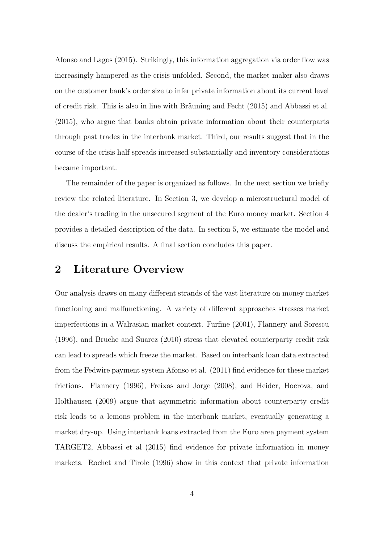Afonso and Lagos (2015). Strikingly, this information aggregation via order flow was increasingly hampered as the crisis unfolded. Second, the market maker also draws on the customer bank's order size to infer private information about its current level of credit risk. This is also in line with Bräuning and Fecht (2015) and Abbassi et al. (2015), who argue that banks obtain private information about their counterparts through past trades in the interbank market. Third, our results suggest that in the course of the crisis half spreads increased substantially and inventory considerations became important.

The remainder of the paper is organized as follows. In the next section we briefly review the related literature. In Section 3, we develop a microstructural model of the dealer's trading in the unsecured segment of the Euro money market. Section 4 provides a detailed description of the data. In section 5, we estimate the model and discuss the empirical results. A final section concludes this paper.

# 2 Literature Overview

Our analysis draws on many different strands of the vast literature on money market functioning and malfunctioning. A variety of different approaches stresses market imperfections in a Walrasian market context. Furfine (2001), Flannery and Sorescu (1996), and Bruche and Suarez (2010) stress that elevated counterparty credit risk can lead to spreads which freeze the market. Based on interbank loan data extracted from the Fedwire payment system Afonso et al. (2011) find evidence for these market frictions. Flannery (1996), Freixas and Jorge (2008), and Heider, Hoerova, and Holthausen (2009) argue that asymmetric information about counterparty credit risk leads to a lemons problem in the interbank market, eventually generating a market dry-up. Using interbank loans extracted from the Euro area payment system TARGET2, Abbassi et al (2015) find evidence for private information in money markets. Rochet and Tirole (1996) show in this context that private information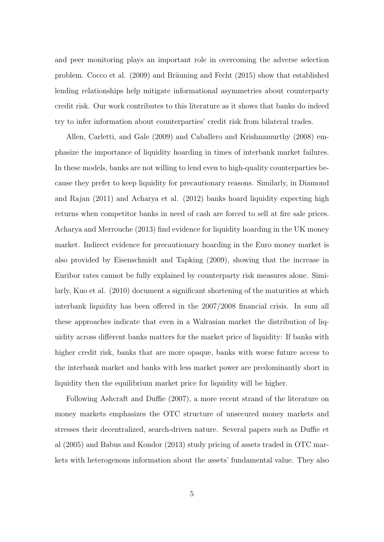and peer monitoring plays an important role in overcoming the adverse selection problem. Cocco et al.  $(2009)$  and Bräuning and Fecht  $(2015)$  show that established lending relationships help mitigate informational asymmetries about counterparty credit risk. Our work contributes to this literature as it shows that banks do indeed try to infer information about counterparties' credit risk from bilateral trades.

Allen, Carletti, and Gale (2009) and Caballero and Krishnamurthy (2008) emphasize the importance of liquidity hoarding in times of interbank market failures. In these models, banks are not willing to lend even to high-quality counterparties because they prefer to keep liquidity for precautionary reasons. Similarly, in Diamond and Rajan (2011) and Acharya et al. (2012) banks hoard liquidity expecting high returns when competitor banks in need of cash are forced to sell at fire sale prices. Acharya and Merrouche (2013) find evidence for liquidity hoarding in the UK money market. Indirect evidence for precautionary hoarding in the Euro money market is also provided by Eisenschmidt and Tapking (2009), showing that the increase in Euribor rates cannot be fully explained by counterparty risk measures alone. Similarly, Kuo et al. (2010) document a significant shortening of the maturities at which interbank liquidity has been offered in the 2007/2008 financial crisis. In sum all these approaches indicate that even in a Walrasian market the distribution of liquidity across different banks matters for the market price of liquidity: If banks with higher credit risk, banks that are more opaque, banks with worse future access to the interbank market and banks with less market power are predominantly short in liquidity then the equilibrium market price for liquidity will be higher.

Following Ashcraft and Duffie (2007), a more recent strand of the literature on money markets emphasizes the OTC structure of unsecured money markets and stresses their decentralized, search-driven nature. Several papers such as Duffie et al (2005) and Babus and Kondor (2013) study pricing of assets traded in OTC markets with heterogenous information about the assets' fundamental value. They also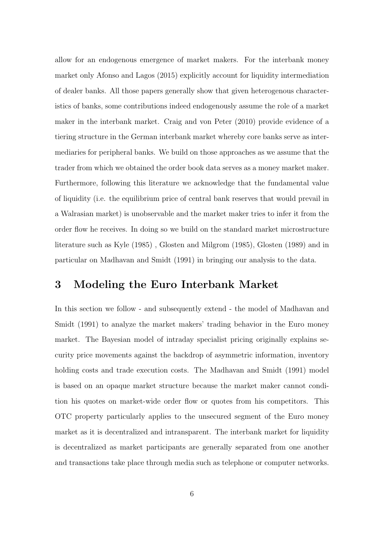allow for an endogenous emergence of market makers. For the interbank money market only Afonso and Lagos (2015) explicitly account for liquidity intermediation of dealer banks. All those papers generally show that given heterogenous characteristics of banks, some contributions indeed endogenously assume the role of a market maker in the interbank market. Craig and von Peter (2010) provide evidence of a tiering structure in the German interbank market whereby core banks serve as intermediaries for peripheral banks. We build on those approaches as we assume that the trader from which we obtained the order book data serves as a money market maker. Furthermore, following this literature we acknowledge that the fundamental value of liquidity (i.e. the equilibrium price of central bank reserves that would prevail in a Walrasian market) is unobservable and the market maker tries to infer it from the order flow he receives. In doing so we build on the standard market microstructure literature such as Kyle (1985) , Glosten and Milgrom (1985), Glosten (1989) and in particular on Madhavan and Smidt (1991) in bringing our analysis to the data.

# 3 Modeling the Euro Interbank Market

In this section we follow - and subsequently extend - the model of Madhavan and Smidt (1991) to analyze the market makers' trading behavior in the Euro money market. The Bayesian model of intraday specialist pricing originally explains security price movements against the backdrop of asymmetric information, inventory holding costs and trade execution costs. The Madhavan and Smidt (1991) model is based on an opaque market structure because the market maker cannot condition his quotes on market-wide order flow or quotes from his competitors. This OTC property particularly applies to the unsecured segment of the Euro money market as it is decentralized and intransparent. The interbank market for liquidity is decentralized as market participants are generally separated from one another and transactions take place through media such as telephone or computer networks.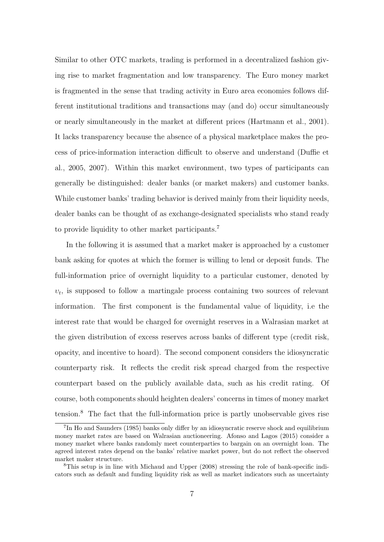Similar to other OTC markets, trading is performed in a decentralized fashion giving rise to market fragmentation and low transparency. The Euro money market is fragmented in the sense that trading activity in Euro area economies follows different institutional traditions and transactions may (and do) occur simultaneously or nearly simultaneously in the market at different prices (Hartmann et al., 2001). It lacks transparency because the absence of a physical marketplace makes the process of price-information interaction difficult to observe and understand (Duffie et al., 2005, 2007). Within this market environment, two types of participants can generally be distinguished: dealer banks (or market makers) and customer banks. While customer banks' trading behavior is derived mainly from their liquidity needs, dealer banks can be thought of as exchange-designated specialists who stand ready to provide liquidity to other market participants.<sup>7</sup>

In the following it is assumed that a market maker is approached by a customer bank asking for quotes at which the former is willing to lend or deposit funds. The full-information price of overnight liquidity to a particular customer, denoted by  $v_t$ , is supposed to follow a martingale process containing two sources of relevant information. The first component is the fundamental value of liquidity, i.e the interest rate that would be charged for overnight reserves in a Walrasian market at the given distribution of excess reserves across banks of different type (credit risk, opacity, and incentive to hoard). The second component considers the idiosyncratic counterparty risk. It reflects the credit risk spread charged from the respective counterpart based on the publicly available data, such as his credit rating. Of course, both components should heighten dealers' concerns in times of money market tension.<sup>8</sup> The fact that the full-information price is partly unobservable gives rise

<sup>&</sup>lt;sup>7</sup>In Ho and Saunders (1985) banks only differ by an idiosyncratic reserve shock and equilibrium money market rates are based on Walrasian auctioneering. Afonso and Lagos (2015) consider a money market where banks randomly meet counterparties to bargain on an overnight loan. The agreed interest rates depend on the banks' relative market power, but do not reflect the observed market maker structure.

<sup>8</sup>This setup is in line with Michaud and Upper (2008) stressing the role of bank-specific indicators such as default and funding liquidity risk as well as market indicators such as uncertainty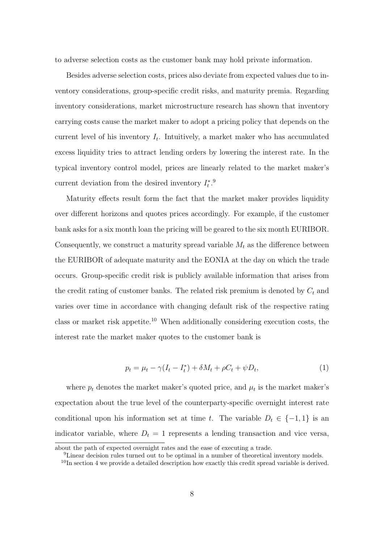to adverse selection costs as the customer bank may hold private information.

Besides adverse selection costs, prices also deviate from expected values due to inventory considerations, group-specific credit risks, and maturity premia. Regarding inventory considerations, market microstructure research has shown that inventory carrying costs cause the market maker to adopt a pricing policy that depends on the current level of his inventory  $I_t$ . Intuitively, a market maker who has accumulated excess liquidity tries to attract lending orders by lowering the interest rate. In the typical inventory control model, prices are linearly related to the market maker's current deviation from the desired inventory  $I_t^*$ .<sup>9</sup>

Maturity effects result form the fact that the market maker provides liquidity over different horizons and quotes prices accordingly. For example, if the customer bank asks for a six month loan the pricing will be geared to the six month EURIBOR. Consequently, we construct a maturity spread variable  $M_t$  as the difference between the EURIBOR of adequate maturity and the EONIA at the day on which the trade occurs. Group-specific credit risk is publicly available information that arises from the credit rating of customer banks. The related risk premium is denoted by  $C_t$  and varies over time in accordance with changing default risk of the respective rating class or market risk appetite.<sup>10</sup> When additionally considering execution costs, the interest rate the market maker quotes to the customer bank is

$$
p_t = \mu_t - \gamma (I_t - I_t^*) + \delta M_t + \rho C_t + \psi D_t, \tag{1}
$$

where  $p_t$  denotes the market maker's quoted price, and  $\mu_t$  is the market maker's expectation about the true level of the counterparty-specific overnight interest rate conditional upon his information set at time t. The variable  $D_t \in \{-1, 1\}$  is an indicator variable, where  $D_t = 1$  represents a lending transaction and vice versa,

about the path of expected overnight rates and the ease of executing a trade.

<sup>9</sup>Linear decision rules turned out to be optimal in a number of theoretical inventory models.

 $10$ In section 4 we provide a detailed description how exactly this credit spread variable is derived.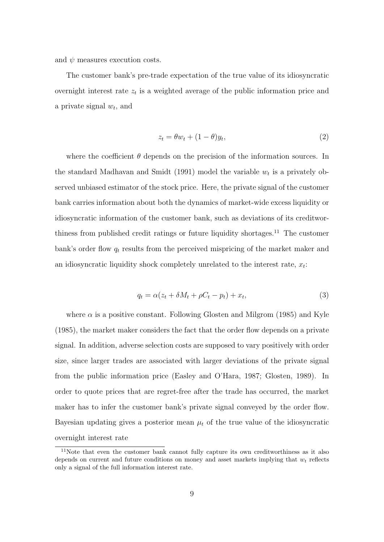and  $\psi$  measures execution costs.

The customer bank's pre-trade expectation of the true value of its idiosyncratic overnight interest rate  $z_t$  is a weighted average of the public information price and a private signal  $w_t$ , and

$$
z_t = \theta w_t + (1 - \theta)y_t,\tag{2}
$$

where the coefficient  $\theta$  depends on the precision of the information sources. In the standard Madhavan and Smidt (1991) model the variable  $w_t$  is a privately observed unbiased estimator of the stock price. Here, the private signal of the customer bank carries information about both the dynamics of market-wide excess liquidity or idiosyncratic information of the customer bank, such as deviations of its creditworthiness from published credit ratings or future liquidity shortages.<sup>11</sup> The customer bank's order flow  $q_t$  results from the perceived mispricing of the market maker and an idiosyncratic liquidity shock completely unrelated to the interest rate,  $x_t$ :

$$
q_t = \alpha (z_t + \delta M_t + \rho C_t - p_t) + x_t,
$$
\n<sup>(3)</sup>

where  $\alpha$  is a positive constant. Following Glosten and Milgrom (1985) and Kyle (1985), the market maker considers the fact that the order flow depends on a private signal. In addition, adverse selection costs are supposed to vary positively with order size, since larger trades are associated with larger deviations of the private signal from the public information price (Easley and O'Hara, 1987; Glosten, 1989). In order to quote prices that are regret-free after the trade has occurred, the market maker has to infer the customer bank's private signal conveyed by the order flow. Bayesian updating gives a posterior mean  $\mu_t$  of the true value of the idiosyncratic overnight interest rate

<sup>&</sup>lt;sup>11</sup>Note that even the customer bank cannot fully capture its own creditworthiness as it also depends on current and future conditions on money and asset markets implying that  $w_t$  reflects only a signal of the full information interest rate.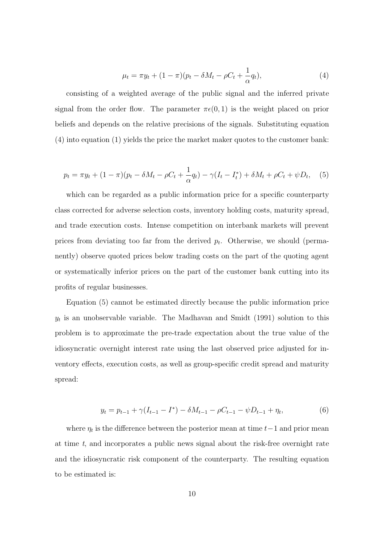$$
\mu_t = \pi y_t + (1 - \pi)(p_t - \delta M_t - \rho C_t + \frac{1}{\alpha} q_t), \tag{4}
$$

consisting of a weighted average of the public signal and the inferred private signal from the order flow. The parameter  $\pi\epsilon(0, 1)$  is the weight placed on prior beliefs and depends on the relative precisions of the signals. Substituting equation (4) into equation (1) yields the price the market maker quotes to the customer bank:

$$
p_t = \pi y_t + (1 - \pi)(p_t - \delta M_t - \rho C_t + \frac{1}{\alpha} q_t) - \gamma (I_t - I_t^*) + \delta M_t + \rho C_t + \psi D_t, \quad (5)
$$

which can be regarded as a public information price for a specific counterparty class corrected for adverse selection costs, inventory holding costs, maturity spread, and trade execution costs. Intense competition on interbank markets will prevent prices from deviating too far from the derived  $p_t$ . Otherwise, we should (permanently) observe quoted prices below trading costs on the part of the quoting agent or systematically inferior prices on the part of the customer bank cutting into its profits of regular businesses.

Equation (5) cannot be estimated directly because the public information price  $y_t$  is an unobservable variable. The Madhavan and Smidt (1991) solution to this problem is to approximate the pre-trade expectation about the true value of the idiosyncratic overnight interest rate using the last observed price adjusted for inventory effects, execution costs, as well as group-specific credit spread and maturity spread:

$$
y_t = p_{t-1} + \gamma (I_{t-1} - I^*) - \delta M_{t-1} - \rho C_{t-1} - \psi D_{t-1} + \eta_t,
$$
\n<sup>(6)</sup>

where  $\eta_t$  is the difference between the posterior mean at time  $t-1$  and prior mean at time  $t$ , and incorporates a public news signal about the risk-free overnight rate and the idiosyncratic risk component of the counterparty. The resulting equation to be estimated is: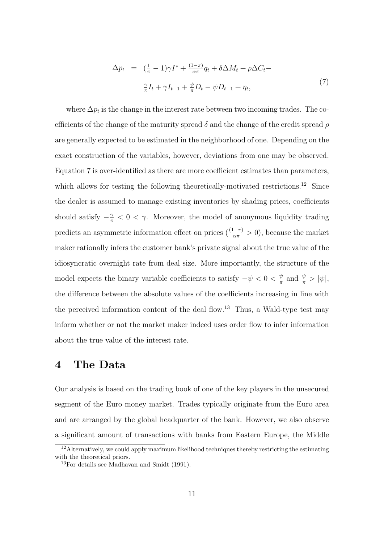$$
\Delta p_t = \left(\frac{1}{\pi} - 1\right)\gamma I^* + \frac{(1-\pi)}{\alpha \pi}q_t + \delta \Delta M_t + \rho \Delta C_t -
$$
  

$$
\frac{\gamma}{\pi}I_t + \gamma I_{t-1} + \frac{\psi}{\pi}D_t - \psi D_{t-1} + \eta_t,
$$
\n(7)

where  $\Delta p_t$  is the change in the interest rate between two incoming trades. The coefficients of the change of the maturity spread  $\delta$  and the change of the credit spread  $\rho$ are generally expected to be estimated in the neighborhood of one. Depending on the exact construction of the variables, however, deviations from one may be observed. Equation 7 is over-identified as there are more coefficient estimates than parameters, which allows for testing the following theoretically-motivated restrictions.<sup>12</sup> Since the dealer is assumed to manage existing inventories by shading prices, coefficients should satisfy  $-\frac{\gamma}{\pi} < 0 < \gamma$ . Moreover, the model of anonymous liquidity trading predicts an asymmetric information effect on prices  $(\frac{(1-\pi)}{\alpha \pi} > 0)$ , because the market maker rationally infers the customer bank's private signal about the true value of the idiosyncratic overnight rate from deal size. More importantly, the structure of the model expects the binary variable coefficients to satisfy  $-\psi < 0 < \frac{\psi}{\pi}$  $\frac{\psi}{\pi}$  and  $\frac{\psi}{\pi} > |\psi|$ , the difference between the absolute values of the coefficients increasing in line with the perceived information content of the deal flow.<sup>13</sup> Thus, a Wald-type test may inform whether or not the market maker indeed uses order flow to infer information about the true value of the interest rate.

# 4 The Data

Our analysis is based on the trading book of one of the key players in the unsecured segment of the Euro money market. Trades typically originate from the Euro area and are arranged by the global headquarter of the bank. However, we also observe a significant amount of transactions with banks from Eastern Europe, the Middle

<sup>&</sup>lt;sup>12</sup>Alternatively, we could apply maximum likelihood techniques thereby restricting the estimating with the theoretical priors.

<sup>13</sup>For details see Madhavan and Smidt (1991).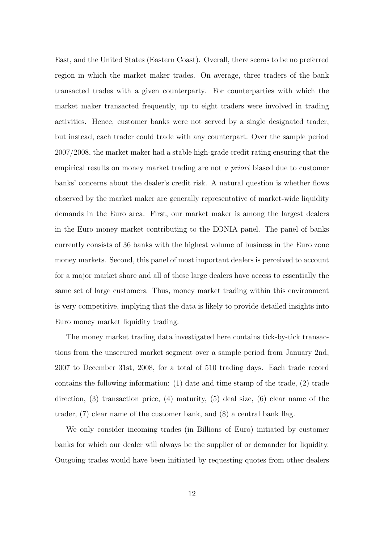East, and the United States (Eastern Coast). Overall, there seems to be no preferred region in which the market maker trades. On average, three traders of the bank transacted trades with a given counterparty. For counterparties with which the market maker transacted frequently, up to eight traders were involved in trading activities. Hence, customer banks were not served by a single designated trader, but instead, each trader could trade with any counterpart. Over the sample period 2007/2008, the market maker had a stable high-grade credit rating ensuring that the empirical results on money market trading are not a priori biased due to customer banks' concerns about the dealer's credit risk. A natural question is whether flows observed by the market maker are generally representative of market-wide liquidity demands in the Euro area. First, our market maker is among the largest dealers in the Euro money market contributing to the EONIA panel. The panel of banks currently consists of 36 banks with the highest volume of business in the Euro zone money markets. Second, this panel of most important dealers is perceived to account for a major market share and all of these large dealers have access to essentially the same set of large customers. Thus, money market trading within this environment is very competitive, implying that the data is likely to provide detailed insights into Euro money market liquidity trading.

The money market trading data investigated here contains tick-by-tick transactions from the unsecured market segment over a sample period from January 2nd, 2007 to December 31st, 2008, for a total of 510 trading days. Each trade record contains the following information: (1) date and time stamp of the trade, (2) trade direction, (3) transaction price, (4) maturity, (5) deal size, (6) clear name of the trader, (7) clear name of the customer bank, and (8) a central bank flag.

We only consider incoming trades (in Billions of Euro) initiated by customer banks for which our dealer will always be the supplier of or demander for liquidity. Outgoing trades would have been initiated by requesting quotes from other dealers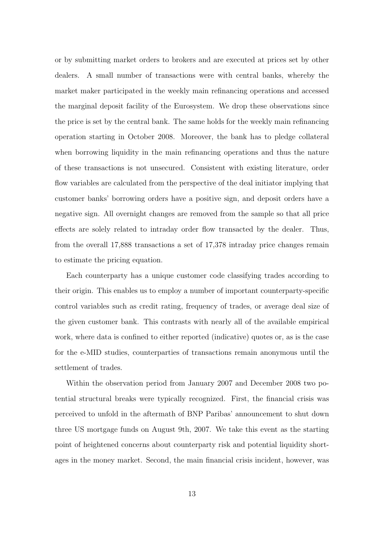or by submitting market orders to brokers and are executed at prices set by other dealers. A small number of transactions were with central banks, whereby the market maker participated in the weekly main refinancing operations and accessed the marginal deposit facility of the Eurosystem. We drop these observations since the price is set by the central bank. The same holds for the weekly main refinancing operation starting in October 2008. Moreover, the bank has to pledge collateral when borrowing liquidity in the main refinancing operations and thus the nature of these transactions is not unsecured. Consistent with existing literature, order flow variables are calculated from the perspective of the deal initiator implying that customer banks' borrowing orders have a positive sign, and deposit orders have a negative sign. All overnight changes are removed from the sample so that all price effects are solely related to intraday order flow transacted by the dealer. Thus, from the overall 17,888 transactions a set of 17,378 intraday price changes remain to estimate the pricing equation.

Each counterparty has a unique customer code classifying trades according to their origin. This enables us to employ a number of important counterparty-specific control variables such as credit rating, frequency of trades, or average deal size of the given customer bank. This contrasts with nearly all of the available empirical work, where data is confined to either reported (indicative) quotes or, as is the case for the e-MID studies, counterparties of transactions remain anonymous until the settlement of trades.

Within the observation period from January 2007 and December 2008 two potential structural breaks were typically recognized. First, the financial crisis was perceived to unfold in the aftermath of BNP Paribas' announcement to shut down three US mortgage funds on August 9th, 2007. We take this event as the starting point of heightened concerns about counterparty risk and potential liquidity shortages in the money market. Second, the main financial crisis incident, however, was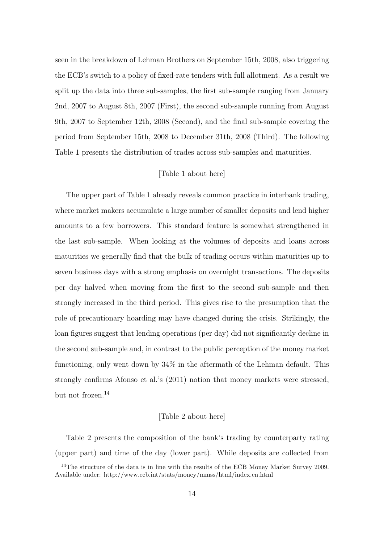seen in the breakdown of Lehman Brothers on September 15th, 2008, also triggering the ECB's switch to a policy of fixed-rate tenders with full allotment. As a result we split up the data into three sub-samples, the first sub-sample ranging from January 2nd, 2007 to August 8th, 2007 (First), the second sub-sample running from August 9th, 2007 to September 12th, 2008 (Second), and the final sub-sample covering the period from September 15th, 2008 to December 31th, 2008 (Third). The following Table 1 presents the distribution of trades across sub-samples and maturities.

#### [Table 1 about here]

The upper part of Table 1 already reveals common practice in interbank trading, where market makers accumulate a large number of smaller deposits and lend higher amounts to a few borrowers. This standard feature is somewhat strengthened in the last sub-sample. When looking at the volumes of deposits and loans across maturities we generally find that the bulk of trading occurs within maturities up to seven business days with a strong emphasis on overnight transactions. The deposits per day halved when moving from the first to the second sub-sample and then strongly increased in the third period. This gives rise to the presumption that the role of precautionary hoarding may have changed during the crisis. Strikingly, the loan figures suggest that lending operations (per day) did not significantly decline in the second sub-sample and, in contrast to the public perception of the money market functioning, only went down by 34% in the aftermath of the Lehman default. This strongly confirms Afonso et al.'s (2011) notion that money markets were stressed, but not frozen.<sup>14</sup>

#### [Table 2 about here]

Table 2 presents the composition of the bank's trading by counterparty rating (upper part) and time of the day (lower part). While deposits are collected from

<sup>&</sup>lt;sup>14</sup>The structure of the data is in line with the results of the ECB Money Market Survey 2009. Available under: http://www.ecb.int/stats/money/mmss/html/index.en.html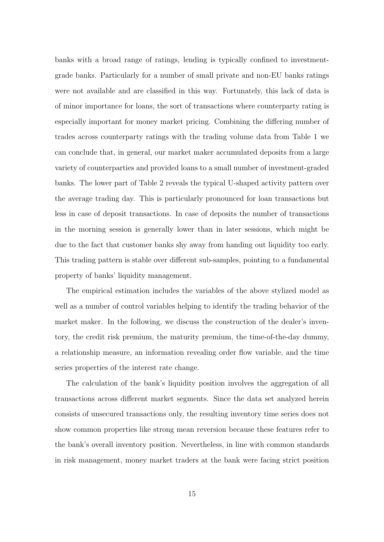banks with a broad range of ratings, lending is typically confined to investmentgrade banks. Particularly for a number of small private and non-EU banks ratings were not available and are classified in this way. Fortunately, this lack of data is of minor importance for loans, the sort of transactions where counterparty rating is especially important for money market pricing. Combining the differing number of trades across counterparty ratings with the trading volume data from Table 1 we can conclude that, in general, our market maker accumulated deposits from a large variety of counterparties and provided loans to a small number of investment-graded banks. The lower part of Table 2 reveals the typical U-shaped activity pattern over the average trading day. This is particularly pronounced for loan transactions but less in case of deposit transactions. In case of deposits the number of transactions in the morning session is generally lower than in later sessions, which might be due to the fact that customer banks shy away from handing out liquidity too early. This trading pattern is stable over different sub-samples, pointing to a fundamental property of banks' liquidity management.

The empirical estimation includes the variables of the above stylized model as well as a number of control variables helping to identify the trading behavior of the market maker. In the following, we discuss the construction of the dealer's inventory, the credit risk premium, the maturity premium, the time-of-the-day dummy, a relationship measure, an information revealing order flow variable, and the time series properties of the interest rate change.

The calculation of the bank's liquidity position involves the aggregation of all transactions across different market segments. Since the data set analyzed herein consists of unsecured transactions only, the resulting inventory time series does not show common properties like strong mean reversion because these features refer to the bank's overall inventory position. Nevertheless, in line with common standards in risk management, money market traders at the bank were facing strict position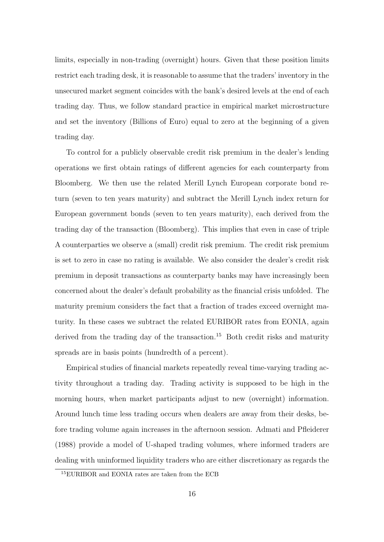limits, especially in non-trading (overnight) hours. Given that these position limits restrict each trading desk, it is reasonable to assume that the traders' inventory in the unsecured market segment coincides with the bank's desired levels at the end of each trading day. Thus, we follow standard practice in empirical market microstructure and set the inventory (Billions of Euro) equal to zero at the beginning of a given trading day.

To control for a publicly observable credit risk premium in the dealer's lending operations we first obtain ratings of different agencies for each counterparty from Bloomberg. We then use the related Merill Lynch European corporate bond return (seven to ten years maturity) and subtract the Merill Lynch index return for European government bonds (seven to ten years maturity), each derived from the trading day of the transaction (Bloomberg). This implies that even in case of triple A counterparties we observe a (small) credit risk premium. The credit risk premium is set to zero in case no rating is available. We also consider the dealer's credit risk premium in deposit transactions as counterparty banks may have increasingly been concerned about the dealer's default probability as the financial crisis unfolded. The maturity premium considers the fact that a fraction of trades exceed overnight maturity. In these cases we subtract the related EURIBOR rates from EONIA, again derived from the trading day of the transaction.<sup>15</sup> Both credit risks and maturity spreads are in basis points (hundredth of a percent).

Empirical studies of financial markets repeatedly reveal time-varying trading activity throughout a trading day. Trading activity is supposed to be high in the morning hours, when market participants adjust to new (overnight) information. Around lunch time less trading occurs when dealers are away from their desks, before trading volume again increases in the afternoon session. Admati and Pfleiderer (1988) provide a model of U-shaped trading volumes, where informed traders are dealing with uninformed liquidity traders who are either discretionary as regards the

<sup>15</sup>EURIBOR and EONIA rates are taken from the ECB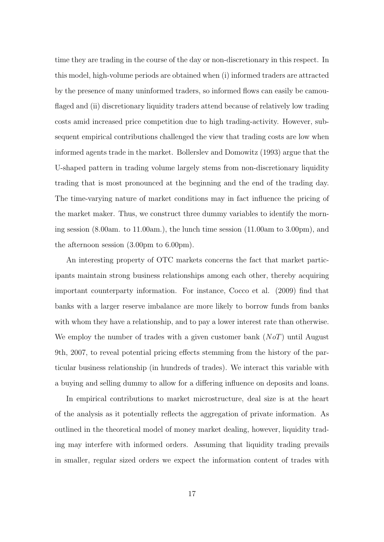time they are trading in the course of the day or non-discretionary in this respect. In this model, high-volume periods are obtained when (i) informed traders are attracted by the presence of many uninformed traders, so informed flows can easily be camouflaged and (ii) discretionary liquidity traders attend because of relatively low trading costs amid increased price competition due to high trading-activity. However, subsequent empirical contributions challenged the view that trading costs are low when informed agents trade in the market. Bollerslev and Domowitz (1993) argue that the U-shaped pattern in trading volume largely stems from non-discretionary liquidity trading that is most pronounced at the beginning and the end of the trading day. The time-varying nature of market conditions may in fact influence the pricing of the market maker. Thus, we construct three dummy variables to identify the morning session (8.00am. to 11.00am.), the lunch time session (11.00am to 3.00pm), and the afternoon session (3.00pm to 6.00pm).

An interesting property of OTC markets concerns the fact that market participants maintain strong business relationships among each other, thereby acquiring important counterparty information. For instance, Cocco et al. (2009) find that banks with a larger reserve imbalance are more likely to borrow funds from banks with whom they have a relationship, and to pay a lower interest rate than otherwise. We employ the number of trades with a given customer bank  $(NoT)$  until August 9th, 2007, to reveal potential pricing effects stemming from the history of the particular business relationship (in hundreds of trades). We interact this variable with a buying and selling dummy to allow for a differing influence on deposits and loans.

In empirical contributions to market microstructure, deal size is at the heart of the analysis as it potentially reflects the aggregation of private information. As outlined in the theoretical model of money market dealing, however, liquidity trading may interfere with informed orders. Assuming that liquidity trading prevails in smaller, regular sized orders we expect the information content of trades with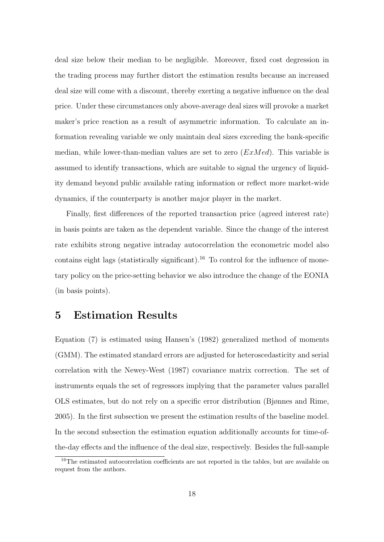deal size below their median to be negligible. Moreover, fixed cost degression in the trading process may further distort the estimation results because an increased deal size will come with a discount, thereby exerting a negative influence on the deal price. Under these circumstances only above-average deal sizes will provoke a market maker's price reaction as a result of asymmetric information. To calculate an information revealing variable we only maintain deal sizes exceeding the bank-specific median, while lower-than-median values are set to zero  $(ExMed)$ . This variable is assumed to identify transactions, which are suitable to signal the urgency of liquidity demand beyond public available rating information or reflect more market-wide dynamics, if the counterparty is another major player in the market.

Finally, first differences of the reported transaction price (agreed interest rate) in basis points are taken as the dependent variable. Since the change of the interest rate exhibits strong negative intraday autocorrelation the econometric model also contains eight lags (statistically significant).<sup>16</sup> To control for the influence of monetary policy on the price-setting behavior we also introduce the change of the EONIA (in basis points).

# 5 Estimation Results

Equation (7) is estimated using Hansen's (1982) generalized method of moments (GMM). The estimated standard errors are adjusted for heteroscedasticity and serial correlation with the Newey-West (1987) covariance matrix correction. The set of instruments equals the set of regressors implying that the parameter values parallel OLS estimates, but do not rely on a specific error distribution (Bjønnes and Rime, 2005). In the first subsection we present the estimation results of the baseline model. In the second subsection the estimation equation additionally accounts for time-ofthe-day effects and the influence of the deal size, respectively. Besides the full-sample

<sup>&</sup>lt;sup>16</sup>The estimated autocorrelation coefficients are not reported in the tables, but are available on request from the authors.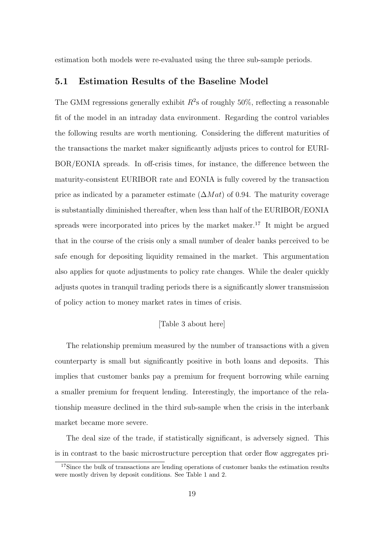estimation both models were re-evaluated using the three sub-sample periods.

#### 5.1 Estimation Results of the Baseline Model

The GMM regressions generally exhibit  $R^2$ s of roughly 50%, reflecting a reasonable fit of the model in an intraday data environment. Regarding the control variables the following results are worth mentioning. Considering the different maturities of the transactions the market maker significantly adjusts prices to control for EURI-BOR/EONIA spreads. In off-crisis times, for instance, the difference between the maturity-consistent EURIBOR rate and EONIA is fully covered by the transaction price as indicated by a parameter estimate  $(\Delta Mat)$  of 0.94. The maturity coverage is substantially diminished thereafter, when less than half of the EURIBOR/EONIA spreads were incorporated into prices by the market maker.<sup>17</sup> It might be argued that in the course of the crisis only a small number of dealer banks perceived to be safe enough for depositing liquidity remained in the market. This argumentation also applies for quote adjustments to policy rate changes. While the dealer quickly adjusts quotes in tranquil trading periods there is a significantly slower transmission of policy action to money market rates in times of crisis.

#### [Table 3 about here]

The relationship premium measured by the number of transactions with a given counterparty is small but significantly positive in both loans and deposits. This implies that customer banks pay a premium for frequent borrowing while earning a smaller premium for frequent lending. Interestingly, the importance of the relationship measure declined in the third sub-sample when the crisis in the interbank market became more severe.

The deal size of the trade, if statistically significant, is adversely signed. This is in contrast to the basic microstructure perception that order flow aggregates pri-

<sup>&</sup>lt;sup>17</sup>Since the bulk of transactions are lending operations of customer banks the estimation results were mostly driven by deposit conditions. See Table 1 and 2.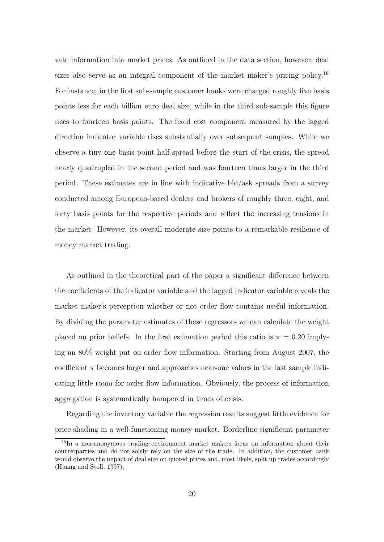vate information into market prices. As outlined in the data section, however, deal sizes also serve as an integral component of the market maker's pricing policy.<sup>18</sup> For instance, in the first sub-sample customer banks were charged roughly five basis points less for each billion euro deal size, while in the third sub-sample this figure rises to fourteen basis points. The fixed cost component measured by the lagged direction indicator variable rises substantially over subsequent samples. While we observe a tiny one basis point half spread before the start of the crisis, the spread nearly quadrupled in the second period and was fourteen times larger in the third period. These estimates are in line with indicative bid/ask spreads from a survey conducted among European-based dealers and brokers of roughly three, eight, and forty basis points for the respective periods and reflect the increasing tensions in the market. However, its overall moderate size points to a remarkable resilience of money market trading.

As outlined in the theoretical part of the paper a significant difference between the coefficients of the indicator variable and the lagged indicator variable reveals the market maker's perception whether or not order flow contains useful information. By dividing the parameter estimates of these regressors we can calculate the weight placed on prior beliefs. In the first estimation period this ratio is  $\pi = 0.20$  implying an 80% weight put on order flow information. Starting from August 2007, the coefficient  $\pi$  becomes larger and approaches near-one values in the last sample indicating little room for order flow information. Obviously, the process of information aggregation is systematically hampered in times of crisis.

Regarding the inventory variable the regression results suggest little evidence for price shading in a well-functioning money market. Borderline significant parameter

<sup>&</sup>lt;sup>18</sup>In a non-anonymous trading environment market makers focus on information about their counterparties and do not solely rely on the size of the trade. In addition, the customer bank would observe the impact of deal size on quoted prices and, most likely, split up trades accordingly (Huang and Stoll, 1997).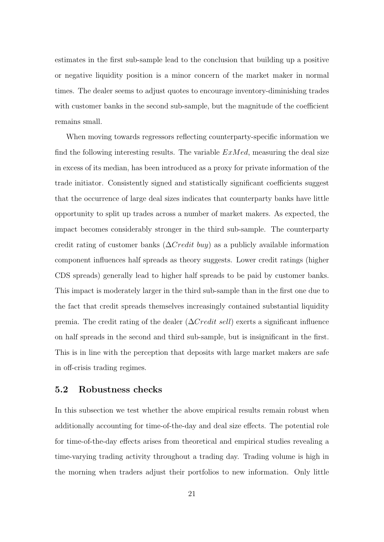estimates in the first sub-sample lead to the conclusion that building up a positive or negative liquidity position is a minor concern of the market maker in normal times. The dealer seems to adjust quotes to encourage inventory-diminishing trades with customer banks in the second sub-sample, but the magnitude of the coefficient remains small.

When moving towards regressors reflecting counterparty-specific information we find the following interesting results. The variable  $ExMed$ , measuring the deal size in excess of its median, has been introduced as a proxy for private information of the trade initiator. Consistently signed and statistically significant coefficients suggest that the occurrence of large deal sizes indicates that counterparty banks have little opportunity to split up trades across a number of market makers. As expected, the impact becomes considerably stronger in the third sub-sample. The counterparty credit rating of customer banks ( $\Delta Credit$  buy) as a publicly available information component influences half spreads as theory suggests. Lower credit ratings (higher CDS spreads) generally lead to higher half spreads to be paid by customer banks. This impact is moderately larger in the third sub-sample than in the first one due to the fact that credit spreads themselves increasingly contained substantial liquidity premia. The credit rating of the dealer  $(\Delta C \cdot \text{red} t \cdot \text{sel})$  exerts a significant influence on half spreads in the second and third sub-sample, but is insignificant in the first. This is in line with the perception that deposits with large market makers are safe in off-crisis trading regimes.

#### 5.2 Robustness checks

In this subsection we test whether the above empirical results remain robust when additionally accounting for time-of-the-day and deal size effects. The potential role for time-of-the-day effects arises from theoretical and empirical studies revealing a time-varying trading activity throughout a trading day. Trading volume is high in the morning when traders adjust their portfolios to new information. Only little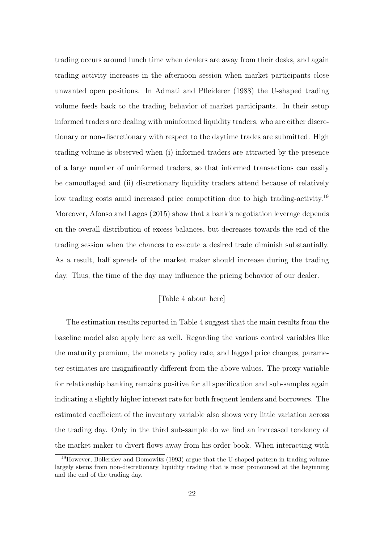trading occurs around lunch time when dealers are away from their desks, and again trading activity increases in the afternoon session when market participants close unwanted open positions. In Admati and Pfleiderer (1988) the U-shaped trading volume feeds back to the trading behavior of market participants. In their setup informed traders are dealing with uninformed liquidity traders, who are either discretionary or non-discretionary with respect to the daytime trades are submitted. High trading volume is observed when (i) informed traders are attracted by the presence of a large number of uninformed traders, so that informed transactions can easily be camouflaged and (ii) discretionary liquidity traders attend because of relatively low trading costs amid increased price competition due to high trading-activity.<sup>19</sup> Moreover, Afonso and Lagos (2015) show that a bank's negotiation leverage depends on the overall distribution of excess balances, but decreases towards the end of the trading session when the chances to execute a desired trade diminish substantially. As a result, half spreads of the market maker should increase during the trading day. Thus, the time of the day may influence the pricing behavior of our dealer.

#### [Table 4 about here]

The estimation results reported in Table 4 suggest that the main results from the baseline model also apply here as well. Regarding the various control variables like the maturity premium, the monetary policy rate, and lagged price changes, parameter estimates are insignificantly different from the above values. The proxy variable for relationship banking remains positive for all specification and sub-samples again indicating a slightly higher interest rate for both frequent lenders and borrowers. The estimated coefficient of the inventory variable also shows very little variation across the trading day. Only in the third sub-sample do we find an increased tendency of the market maker to divert flows away from his order book. When interacting with

<sup>19</sup>However, Bollerslev and Domowitz (1993) argue that the U-shaped pattern in trading volume largely stems from non-discretionary liquidity trading that is most pronounced at the beginning and the end of the trading day.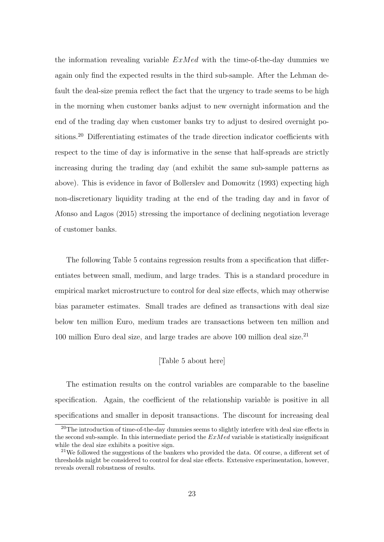the information revealing variable  $ExMed$  with the time-of-the-day dummies we again only find the expected results in the third sub-sample. After the Lehman default the deal-size premia reflect the fact that the urgency to trade seems to be high in the morning when customer banks adjust to new overnight information and the end of the trading day when customer banks try to adjust to desired overnight positions.<sup>20</sup> Differentiating estimates of the trade direction indicator coefficients with respect to the time of day is informative in the sense that half-spreads are strictly increasing during the trading day (and exhibit the same sub-sample patterns as above). This is evidence in favor of Bollerslev and Domowitz (1993) expecting high non-discretionary liquidity trading at the end of the trading day and in favor of Afonso and Lagos (2015) stressing the importance of declining negotiation leverage of customer banks.

The following Table 5 contains regression results from a specification that differentiates between small, medium, and large trades. This is a standard procedure in empirical market microstructure to control for deal size effects, which may otherwise bias parameter estimates. Small trades are defined as transactions with deal size below ten million Euro, medium trades are transactions between ten million and 100 million Euro deal size, and large trades are above 100 million deal size.<sup>21</sup>

#### [Table 5 about here]

The estimation results on the control variables are comparable to the baseline specification. Again, the coefficient of the relationship variable is positive in all specifications and smaller in deposit transactions. The discount for increasing deal

<sup>&</sup>lt;sup>20</sup>The introduction of time-of-the-day dummies seems to slightly interfere with deal size effects in the second sub-sample. In this intermediate period the  $ExMed$  variable is statistically insignificant while the deal size exhibits a positive sign.

 $21$ We followed the suggestions of the bankers who provided the data. Of course, a different set of thresholds might be considered to control for deal size effects. Extensive experimentation, however, reveals overall robustness of results.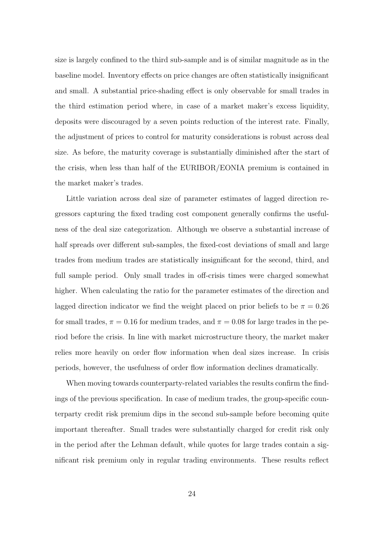size is largely confined to the third sub-sample and is of similar magnitude as in the baseline model. Inventory effects on price changes are often statistically insignificant and small. A substantial price-shading effect is only observable for small trades in the third estimation period where, in case of a market maker's excess liquidity, deposits were discouraged by a seven points reduction of the interest rate. Finally, the adjustment of prices to control for maturity considerations is robust across deal size. As before, the maturity coverage is substantially diminished after the start of the crisis, when less than half of the EURIBOR/EONIA premium is contained in the market maker's trades.

Little variation across deal size of parameter estimates of lagged direction regressors capturing the fixed trading cost component generally confirms the usefulness of the deal size categorization. Although we observe a substantial increase of half spreads over different sub-samples, the fixed-cost deviations of small and large trades from medium trades are statistically insignificant for the second, third, and full sample period. Only small trades in off-crisis times were charged somewhat higher. When calculating the ratio for the parameter estimates of the direction and lagged direction indicator we find the weight placed on prior beliefs to be  $\pi = 0.26$ for small trades,  $\pi = 0.16$  for medium trades, and  $\pi = 0.08$  for large trades in the period before the crisis. In line with market microstructure theory, the market maker relies more heavily on order flow information when deal sizes increase. In crisis periods, however, the usefulness of order flow information declines dramatically.

When moving towards counterparty-related variables the results confirm the findings of the previous specification. In case of medium trades, the group-specific counterparty credit risk premium dips in the second sub-sample before becoming quite important thereafter. Small trades were substantially charged for credit risk only in the period after the Lehman default, while quotes for large trades contain a significant risk premium only in regular trading environments. These results reflect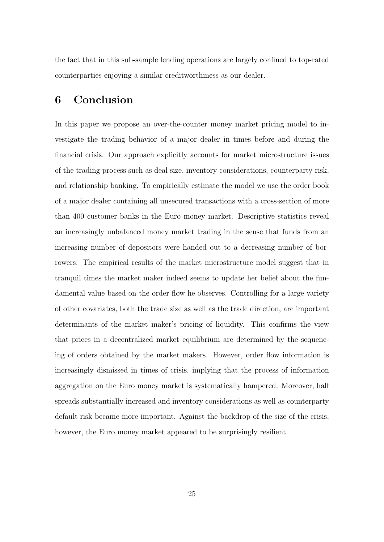the fact that in this sub-sample lending operations are largely confined to top-rated counterparties enjoying a similar creditworthiness as our dealer.

# 6 Conclusion

In this paper we propose an over-the-counter money market pricing model to investigate the trading behavior of a major dealer in times before and during the financial crisis. Our approach explicitly accounts for market microstructure issues of the trading process such as deal size, inventory considerations, counterparty risk, and relationship banking. To empirically estimate the model we use the order book of a major dealer containing all unsecured transactions with a cross-section of more than 400 customer banks in the Euro money market. Descriptive statistics reveal an increasingly unbalanced money market trading in the sense that funds from an increasing number of depositors were handed out to a decreasing number of borrowers. The empirical results of the market microstructure model suggest that in tranquil times the market maker indeed seems to update her belief about the fundamental value based on the order flow he observes. Controlling for a large variety of other covariates, both the trade size as well as the trade direction, are important determinants of the market maker's pricing of liquidity. This confirms the view that prices in a decentralized market equilibrium are determined by the sequencing of orders obtained by the market makers. However, order flow information is increasingly dismissed in times of crisis, implying that the process of information aggregation on the Euro money market is systematically hampered. Moreover, half spreads substantially increased and inventory considerations as well as counterparty default risk became more important. Against the backdrop of the size of the crisis, however, the Euro money market appeared to be surprisingly resilient.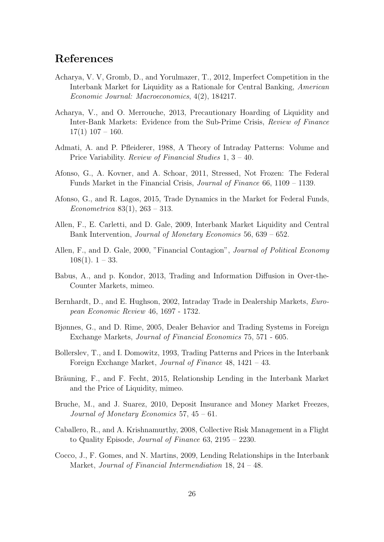# References

- Acharya, V. V, Gromb, D., and Yorulmazer, T., 2012, Imperfect Competition in the Interbank Market for Liquidity as a Rationale for Central Banking, American Economic Journal: Macroeconomics, 4(2), 184217.
- Acharya, V., and O. Merrouche, 2013, Precautionary Hoarding of Liquidity and Inter-Bank Markets: Evidence from the Sub-Prime Crisis, Review of Finance  $17(1)$   $107 - 160$ .
- Admati, A. and P. Pfleiderer, 1988, A Theory of Intraday Patterns: Volume and Price Variability. Review of Financial Studies 1, 3 – 40.
- Afonso, G., A. Kovner, and A. Schoar, 2011, Stressed, Not Frozen: The Federal Funds Market in the Financial Crisis, Journal of Finance 66, 1109 – 1139.
- Afonso, G., and R. Lagos, 2015, Trade Dynamics in the Market for Federal Funds, Econometrica 83(1), 263 – 313.
- Allen, F., E. Carletti, and D. Gale, 2009, Interbank Market Liquidity and Central Bank Intervention, Journal of Monetary Economics 56, 639 – 652.
- Allen, F., and D. Gale, 2000, "Financial Contagion", *Journal of Political Economy*  $108(1)$ .  $1 - 33$ .
- Babus, A., and p. Kondor, 2013, Trading and Information Diffusion in Over-the-Counter Markets, mimeo.
- Bernhardt, D., and E. Hughson, 2002, Intraday Trade in Dealership Markets, *Euro*pean Economic Review 46, 1697 - 1732.
- Bjønnes, G., and D. Rime, 2005, Dealer Behavior and Trading Systems in Foreign Exchange Markets, Journal of Financial Economics 75, 571 - 605.
- Bollerslev, T., and I. Domowitz, 1993, Trading Patterns and Prices in the Interbank Foreign Exchange Market, Journal of Finance 48, 1421 – 43.
- Bräuning, F., and F. Fecht, 2015, Relationship Lending in the Interbank Market and the Price of Liquidity, mimeo.
- Bruche, M., and J. Suarez, 2010, Deposit Insurance and Money Market Freezes, Journal of Monetary Economics 57, 45 – 61.
- Caballero, R., and A. Krishnamurthy, 2008, Collective Risk Management in a Flight to Quality Episode, Journal of Finance 63, 2195 – 2230.
- Cocco, J., F. Gomes, and N. Martins, 2009, Lending Relationships in the Interbank Market, Journal of Financial Intermendiation 18, 24 – 48.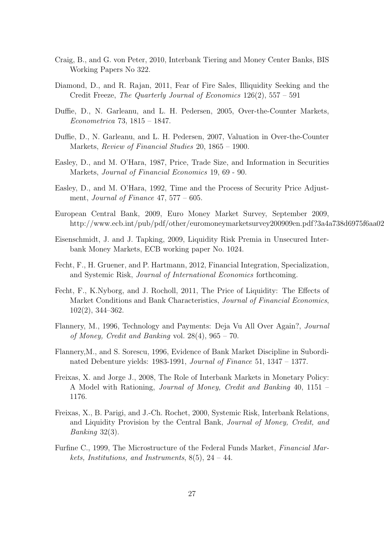- Craig, B., and G. von Peter, 2010, Interbank Tiering and Money Center Banks, BIS Working Papers No 322.
- Diamond, D., and R. Rajan, 2011, Fear of Fire Sales, Illiquidity Seeking and the Credit Freeze, The Quarterly Journal of Economics 126(2), 557 – 591
- Duffie, D., N. Garleanu, and L. H. Pedersen, 2005, Over-the-Counter Markets, Econometrica 73, 1815 – 1847.
- Duffie, D., N. Garleanu, and L. H. Pedersen, 2007, Valuation in Over-the-Counter Markets, Review of Financial Studies 20, 1865 – 1900.
- Easley, D., and M. O'Hara, 1987, Price, Trade Size, and Information in Securities Markets, Journal of Financial Economics 19, 69 - 90.
- Easley, D., and M. O'Hara, 1992, Time and the Process of Security Price Adjustment, Journal of Finance  $47,577 - 605$ .
- European Central Bank, 2009, Euro Money Market Survey, September 2009, http://www.ecb.int/pub/pdf/other/euromoneymarketsurvey200909en.pdf?3a4a738d6975f6aa02
- Eisenschmidt, J. and J. Tapking, 2009, Liquidity Risk Premia in Unsecured Interbank Money Markets, ECB working paper No. 1024.
- Fecht, F., H. Gruener, and P. Hartmann, 2012, Financial Integration, Specialization, and Systemic Risk, Journal of International Economics forthcoming.
- Fecht, F., K.Nyborg, and J. Rocholl, 2011, The Price of Liquidity: The Effects of Market Conditions and Bank Characteristics, *Journal of Financial Economics*, 102(2), 344–362.
- Flannery, M., 1996, Technology and Payments: Deja Vu All Over Again?, Journal of Money, Credit and Banking vol.  $28(4)$ ,  $965 - 70$ .
- Flannery,M., and S. Sorescu, 1996, Evidence of Bank Market Discipline in Subordinated Debenture yields: 1983-1991, Journal of Finance 51, 1347 – 1377.
- Freixas, X. and Jorge J., 2008, The Role of Interbank Markets in Monetary Policy: A Model with Rationing, Journal of Money, Credit and Banking 40, 1151 – 1176.
- Freixas, X., B. Parigi, and J.-Ch. Rochet, 2000, Systemic Risk, Interbank Relations, and Liquidity Provision by the Central Bank, Journal of Money, Credit, and Banking 32(3).
- Furfine C., 1999, The Microstructure of the Federal Funds Market, Financial Markets, Institutions, and Instruments,  $8(5)$ ,  $24 - 44$ .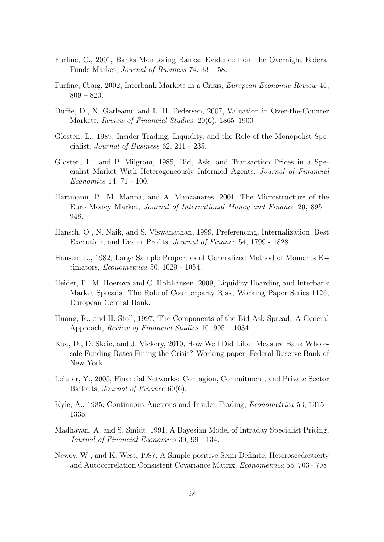- Furfine, C., 2001, Banks Monitoring Banks: Evidence from the Overnight Federal Funds Market, Journal of Business 74, 33 – 58.
- Furfine, Craig, 2002, Interbank Markets in a Crisis, European Economic Review 46, 809 – 820.
- Duffie, D., N. Garleanu, and L. H. Pedersen, 2007, Valuation in Over-the-Counter Markets, Review of Financial Studies, 20(6), 1865–1900
- Glosten, L., 1989, Insider Trading, Liquidity, and the Role of the Monopolist Specialist, Journal of Business 62, 211 - 235.
- Glosten, L., and P. Milgrom, 1985, Bid, Ask, and Transaction Prices in a Specialist Market With Heterogeneously Informed Agents, Journal of Financial Economics 14, 71 - 100.
- Hartmann, P., M. Manna, and A. Manzanares, 2001, The Microstructure of the Euro Money Market, Journal of International Money and Finance 20, 895 – 948.
- Hansch, O., N. Naik, and S. Viswanathan, 1999, Preferencing, Internalization, Best Execution, and Dealer Profits, Journal of Finance 54, 1799 - 1828.
- Hansen, L., 1982, Large Sample Properties of Generalized Method of Moments Estimators, Econometrica 50, 1029 - 1054.
- Heider, F., M. Hoerova and C. Holthausen, 2009, Liquidity Hoarding and Interbank Market Spreads: The Role of Counterparty Risk, Working Paper Series 1126, European Central Bank.
- Huang, R., and H. Stoll, 1997, The Components of the Bid-Ask Spread: A General Approach, Review of Financial Studies 10, 995 – 1034.
- Kuo, D., D. Skeie, and J. Vickery, 2010, How Well Did Libor Measure Bank Wholesale Funding Rates Furing the Crisis? Working paper, Federal Reserve Bank of New York.
- Leitner, Y., 2005, Financial Networks: Contagion, Commitment, and Private Sector Bailouts, Journal of Finance 60(6).
- Kyle, A., 1985, Continuous Auctions and Insider Trading, Econometrica 53, 1315 1335.
- Madhavan, A. and S. Smidt, 1991, A Bayesian Model of Intraday Specialist Pricing, Journal of Financial Economics 30, 99 - 134.
- Newey, W., and K. West, 1987, A Simple positive Semi-Definite, Heteroscedasticity and Autocorrelation Consistent Covariance Matrix, Econometrica 55, 703 - 708.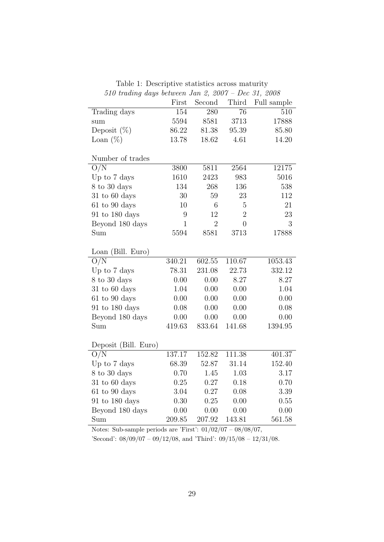| 510 traanig aays vetween san 2, 2001 – Dec 31, 2008 |                  |                 |                |             |  |  |
|-----------------------------------------------------|------------------|-----------------|----------------|-------------|--|--|
|                                                     | First            | Second          | Third          | Full sample |  |  |
| Trading days                                        | 154              | 280             | 76             | 510         |  |  |
| sum                                                 | 5594             | 8581            | 3713           | 17888       |  |  |
| Deposit $(\%)$                                      | 86.22            | 81.38           | 95.39          | 85.80       |  |  |
| Loan $(\%)$                                         | 13.78            | 18.62           | 4.61           | 14.20       |  |  |
| Number of trades                                    |                  |                 |                |             |  |  |
| O/N                                                 | 3800             | 5811            | 2564           | 12175       |  |  |
| Up to 7 days                                        | 1610             | 2423            | 983            | 5016        |  |  |
| 8 to 30 days                                        | 134              | 268             | 136            | 538         |  |  |
| $31$ to $60$ days                                   | 30               | 59              | 23             | 112         |  |  |
| $61$ to $90$ days                                   | 10               | $6\phantom{.}6$ | $\overline{5}$ | 21          |  |  |
| $91$ to $180$ days                                  | $\boldsymbol{9}$ | 12              | $\overline{2}$ | 23          |  |  |
| Beyond 180 days                                     | $\mathbf{1}$     | $\overline{2}$  | $\overline{0}$ | 3           |  |  |
| Sum                                                 | 5594             | 8581            | 3713           | 17888       |  |  |
| Loan (Bill. Euro)                                   |                  |                 |                |             |  |  |
| O/N                                                 | 340.21           | 602.55          | 110.67         | 1053.43     |  |  |
| Up to 7 days                                        | 78.31            | 231.08          | 22.73          | 332.12      |  |  |
| 8 to 30 days                                        | 0.00             | 0.00            | 8.27           | 8.27        |  |  |
| $31$ to $60$ days                                   | 1.04             | $0.00\,$        | 0.00           | 1.04        |  |  |
| $61$ to $90$ days                                   | 0.00             | $0.00\,$        | 0.00           | 0.00        |  |  |
| $91$ to $180$ days                                  | 0.08             | 0.00            | 0.00           | $0.08\,$    |  |  |
| Beyond 180 days                                     | 0.00             | 0.00            | 0.00           | 0.00        |  |  |
| Sum                                                 | 419.63           | 833.64          | 141.68         | 1394.95     |  |  |
| Deposit (Bill. Euro)                                |                  |                 |                |             |  |  |
| O/N                                                 | 137.17           | 152.82          | 111.38         | 401.37      |  |  |
| Up to 7 days                                        | 68.39            | 52.87           | 31.14          | 152.40      |  |  |
| 8 to 30 days                                        | 0.70             | 1.45            | 1.03           | 3.17        |  |  |
| $31$ to $60$ days                                   | 0.25             | 0.27            | 0.18           | 0.70        |  |  |
| $61$ to $90$ days                                   | 3.04             | 0.27            | 0.08           | 3.39        |  |  |
| $91$ to $180$ days                                  | 0.30             | 0.25            | 0.00           | $0.55\,$    |  |  |
| Beyond 180 days                                     | 0.00             | 0.00            | 0.00           | 0.00        |  |  |
| Sum                                                 | 209.85           | 207.92          | 143.81         | 561.58      |  |  |

Table 1: Descriptive statistics across maturity 510 trading days between Jan 2, 2007 – Dec 31, 2008

Notes: Sub-sample periods are 'First':  $01/02/07 - 08/08/07$ ,

'Second':  $08/09/07 - 09/12/08$ , and 'Third':  $09/15/08 - 12/31/08$ .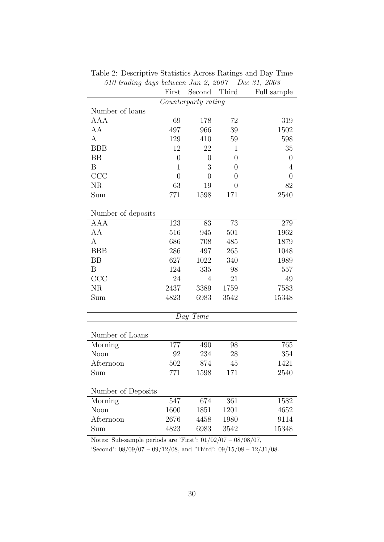|                     | First          | $\omega$ <i>u</i> go octubron ban $\approx$ , $\approx$ 001<br>Second | Third          | $D$ 00 01, $D$ 000<br>Full sample |  |  |
|---------------------|----------------|-----------------------------------------------------------------------|----------------|-----------------------------------|--|--|
| Counterparty rating |                |                                                                       |                |                                   |  |  |
| Number of loans     |                |                                                                       |                |                                   |  |  |
| AAA                 | 69             | 178                                                                   | $72\,$         | 319                               |  |  |
| AA                  | 497            | 966                                                                   | 39             | 1502                              |  |  |
| A                   | 129            | 410                                                                   | 59             | 598                               |  |  |
| <b>BBB</b>          | 12             | 22                                                                    | $\mathbf{1}$   | 35                                |  |  |
| BB                  | $\overline{0}$ | $\boldsymbol{0}$                                                      | $\overline{0}$ | $\boldsymbol{0}$                  |  |  |
| B                   | $\mathbf 1$    | 3                                                                     | $\theta$       | $\overline{4}$                    |  |  |
| CCC                 | $\overline{0}$ | $\overline{0}$                                                        | $\theta$       | $\overline{0}$                    |  |  |
| NR                  | 63             | 19                                                                    | $\theta$       | 82                                |  |  |
| Sum                 | 771            | 1598                                                                  | 171            | 2540                              |  |  |
| Number of deposits  |                |                                                                       |                |                                   |  |  |
| <b>AAA</b>          | 123            | 83                                                                    | 73             | 279                               |  |  |
| AA                  | 516            | 945                                                                   | 501            | 1962                              |  |  |
| A                   | 686            | 708                                                                   | 485            | 1879                              |  |  |
| <b>BBB</b>          | 286            | 497                                                                   | 265            | 1048                              |  |  |
| <b>BB</b>           | 627            | 1022                                                                  | 340            | 1989                              |  |  |
| B                   | 124            | 335                                                                   | 98             | 557                               |  |  |
| CCC                 | 24             | 4                                                                     | 21             | 49                                |  |  |
| <b>NR</b>           | 2437           | 3389                                                                  | 1759           | 7583                              |  |  |
| Sum                 | 4823           | 6983                                                                  | 3542           | 15348                             |  |  |
| Day Time            |                |                                                                       |                |                                   |  |  |
|                     |                |                                                                       |                |                                   |  |  |
| Number of Loans     |                |                                                                       |                |                                   |  |  |
| Morning             | 177            | 490                                                                   | 98             | 765                               |  |  |
| Noon                | 92             | 234                                                                   | 28             | 354                               |  |  |
| Afternoon           | 502            | 874                                                                   | 45             | 1421                              |  |  |
| Sum                 | 771            | 1598                                                                  | 171            | 2540                              |  |  |
| Number of Deposits  |                |                                                                       |                |                                   |  |  |
| Morning             | 547            | 674                                                                   | 361            | 1582                              |  |  |
| Noon                | 1600           | 1851                                                                  | 1201           | 4652                              |  |  |
| Afternoon           | 2676           | 4458                                                                  | 1980           | 9114                              |  |  |
| Sum                 | 4823           | 6983                                                                  | 3542           | 15348                             |  |  |

Table 2: Descriptive Statistics Across Ratings and Day Time 510 trading days between Jan 2, 2007 – Dec 31, 2008

Notes: Sub-sample periods are 'First':  $01/02/07 - 08/08/07$ ,

'Second':  $08/09/07 - 09/12/08$ , and 'Third':  $09/15/08 - 12/31/08$ .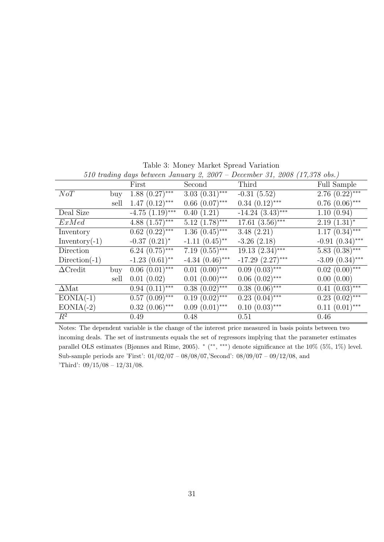| 510 trading days between January 2, 2007 – December 31, 2008 (17,378 obs.) |      |                                |                   |                       |                      |  |
|----------------------------------------------------------------------------|------|--------------------------------|-------------------|-----------------------|----------------------|--|
|                                                                            |      | First                          | Second            | Third                 | Full Sample          |  |
| NoT                                                                        | buy  | $1.88~(0.27)$ ***              | $3.03(0.31)$ ***  | $-0.31(5.52)$         | $2.76(0.22)$ ***     |  |
|                                                                            | sell | $1.47(0.12)$ ***               | $0.66~(0.07)$ *** | $0.34~(0.12)$ ***     | $0.76(0.06)$ ***     |  |
| Deal Size                                                                  |      | $-4.75$ $(1.19)$ ***           | 0.40(1.21)        | $-14.24$ $(3.43)$ *** | 1.10(0.94)           |  |
| ExMed                                                                      |      | 4.88 $(1.57)$ ***              | $5.12~(1.78)$ *** | $17.61~(3.56)$ ***    | $2.19(1.31)^*$       |  |
| Inventory                                                                  |      | $0.62~(0.22)$ ***              | $1.36(0.45)$ ***  | 3.48(2.21)            | $1.17(0.34)$ ***     |  |
| $Inventory(-1)$                                                            |      | $-0.37(0.21)^*$                | $-1.11(0.45)$ **  | $-3.26$ $(2.18)$      | $-0.91(0.34)$ ***    |  |
| Direction                                                                  |      | $6.24~(0.75)$ ***              | $7.19(0.55***$    | $19.13(2.34)$ ***     | $5.83(0.38)$ ***     |  |
| $Direction(-1)$                                                            |      | $-1.23$ $(0.61)$ <sup>**</sup> | $-4.34(0.46)$ *** | $-17.29$ $(2.27)$ *** | $-3.09$ $(0.34)$ *** |  |
| $\Delta$ Credit                                                            | buy  | $0.06(0.01)$ ***               | $0.01~(0.00)$ *** | $0.09(0.03)$ ***      | $0.02$ $(0.00)$ ***  |  |
|                                                                            | sell | 0.01(0.02)                     | $0.01(0.00)$ ***  | $0.06(0.02)$ ***      | 0.00(0.00)           |  |
| $\Delta$ Mat                                                               |      | $0.94(0.11)$ ***               | $0.38(0.02)$ ***  | $0.38(0.06)$ ***      | $0.41~(0.03)$ ***    |  |
| $EONIA(-1)$                                                                |      | $0.57(0.09)$ ***               | $0.19(0.02)$ ***  | $0.23$ $(0.04)$ ***   | $0.23$ $(0.02)$ ***  |  |
| $EONIA(-2)$                                                                |      | $0.32(0.06)$ ***               | $0.09(0.01)$ ***  | $0.10(0.03)$ ***      | $0.11(0.01)$ ***     |  |
| $R^2$                                                                      |      | 0.49                           | 0.48              | 0.51                  | 0.46                 |  |

Table 3: Money Market Spread Variation

Notes: The dependent variable is the change of the interest price measured in basis points between two incoming deals. The set of instruments equals the set of regressors implying that the parameter estimates parallel OLS estimates (Bjønnes and Rime, 2005). \* (\*\*, \*\*\*) denote significance at the 10% (5%, 1%) level. Sub-sample periods are 'First': 01/02/07 – 08/08/07,'Second': 08/09/07 – 09/12/08, and 'Third': 09/15/08 – 12/31/08.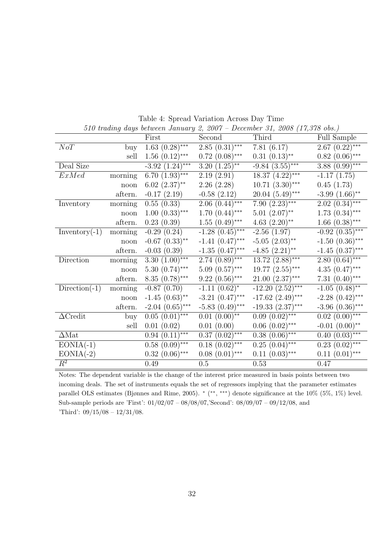|                  |                             |                                |                                | 510 trading days between January 2, 2007 – December 31, 2008 (17,378 obs.) |                             |
|------------------|-----------------------------|--------------------------------|--------------------------------|----------------------------------------------------------------------------|-----------------------------|
|                  |                             | First                          | Second                         | Third                                                                      | Full Sample                 |
| NoT              | buy                         | $1.\overline{63}$ $(0.28)$ *** | $2.85(0.31)$ ***               | 7.81(6.17)                                                                 | $2.67 (0.22)$ ***           |
|                  | sell                        | $1.56(0.12)$ ***               | $0.72$ $(0.08)$ ***            | $0.31(0.13)$ **                                                            | $0.82$ $(0.06)$ ***         |
| Deal Size        |                             | $-3.92$ $(1.24)$ ***           | $3.20(1.25)$ **                | $-9.84(3.55)$ ***                                                          | $3.88(0.99)$ ***            |
| ExMed            | $\overline{\text{morning}}$ | 6.70 $(1.93)$ ***              | 2.19(2.91)                     | $18.37 (4.22)$ ***                                                         | $-1.17(1.75)$               |
|                  | noon                        | $6.02~(2.37)$ **               | 2.26(2.28)                     | $10.71~(3.30)$ ***                                                         | 0.45(1.73)                  |
|                  | aftern.                     | $-0.17(2.19)$                  | $-0.58(2.12)$                  | $20.04(5.49)$ ***                                                          | $-3.99$ $(1.66)$ **         |
| Inventory        | morning                     | 0.55(0.33)                     | $2.06(0.44)$ ***               | 7.90 $\overline{(2.23)$ ***                                                | $2.02(0.34)$ ***            |
|                  | noon                        | $1.00~(0.33)$ ***              | $1.70(0.44)$ ***               | $5.01~(2.07)$ **                                                           | $1.73(0.34)$ ***            |
|                  | aftern.                     | 0.23(0.39)                     | $1.55(0.49)$ ***               | 4.63 $(2.20)$ <sup>**</sup>                                                | $1.66~(0.38)$ ***           |
| $Inventory(-1)$  | morning                     | $-0.29(0.24)$                  | $-1.28(0.45)$ ***              | $-2.56(1.97)$                                                              | $-0.92$ $(0.35)$ ***        |
|                  | noon                        | $-0.67$ $(0.33)$ **            | $-1.41(0.47)$ ***              | $-5.05$ $(2.03)$ **                                                        | $-1.50(0.36)$ ***           |
|                  | aftern.                     | $-0.03(0.39)$                  | $-1.35(0.47)$ ***              | $-4.85$ $(2.21)$ **                                                        | $-1.45$ $(0.37)$ ***        |
| Direction        | morning                     | 3.30 $(1.00)$ ***              | $2.74~(0.89)$ ***              | $13.72~(2.88)$ ***                                                         | $2.80~(0.64)^{***}$         |
|                  | noon                        | $5.30(0.74)$ ***               | $5.09(0.57)$ ***               | $19.77~(2.55)$ ***                                                         | $4.35(0.47)$ ***            |
|                  | aftern.                     | $8.35(0.78)$ ***               | $9.22(0.56)$ ***               | $21.00~(2.37)$ ***                                                         | 7.31 $(0.40)$ ***           |
| $Direction(-1)$  | morning                     | $-0.87(0.70)$                  | $-1.11(0.62)^{*}$              | $-12.20(2.52)$ ***                                                         | $-1.05$ $(0.48)$ **         |
|                  | noon                        | $-1.45(0.63)$ **               | $-3.21$ $(0.47)$ ***           | $-17.62$ $(2.49)$ ***                                                      | $-2.28(0.42)$ ***           |
|                  | aftern.                     | $-2.04$ $(0.65)$ ***           | $-5.83$ $(0.49)$ ***           | $-19.33(2.37)$ ***                                                         | $-3.96$ $(0.36)$ ***        |
| $\Delta$ Credit  | buy                         | $0.05(0.01)$ ***               | $0.01~(0.00)*$                 | $0.09 \ (\overline{0.02})^{***}$                                           | $0.02\ (0.00)$ ***          |
|                  | sell                        | 0.01(0.02)                     | 0.01(0.00)                     | $0.06~(0.02)$ ***                                                          | $-0.01$ $(0.00)$ **         |
| $\Delta Mat$     |                             | $0.94 \overline{(0.11)$ ***    | $0.\overline{37}$ $(0.02)$ *** | $0.38(0.06)$ ***                                                           | $\overline{0.40~(0.03)$ *** |
| $EONIA(-1)$      |                             | $0.58(0.09)$ ***               | $0.18(0.02)$ ***               | $0.25(0.04)$ ***                                                           | $0.23(0.02)$ ***            |
| $EONIA(-2)$      |                             | $0.32$ $(0.06)$ ***            | $0.08(0.01)$ ***               | $0.11~(0.03)$ ***                                                          | $0.11(0.01)$ ***            |
| $\overline{R^2}$ |                             | 0.49                           | $0.5\,$                        | 0.53                                                                       | 0.47                        |

Table 4: Spread Variation Across Day Time 510 trading days between January 2, 2007 – December 31, 2008 (17,378 obs.)

Notes: The dependent variable is the change of the interest price measured in basis points between two incoming deals. The set of instruments equals the set of regressors implying that the parameter estimates parallel OLS estimates (Bjønnes and Rime, 2005). \* (\*\*, \*\*\*) denote significance at the 10% (5%, 1%) level. Sub-sample periods are 'First': 01/02/07 – 08/08/07,'Second': 08/09/07 – 09/12/08, and 'Third': 09/15/08 – 12/31/08.